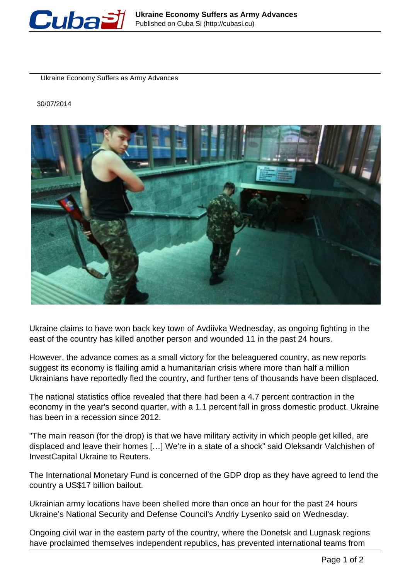

Ukraine Economy Suffers as Army Advances

30/07/2014



Ukraine claims to have won back key town of Avdiivka Wednesday, as ongoing fighting in the east of the country has killed another person and wounded 11 in the past 24 hours.

However, the advance comes as a small victory for the beleaguered country, as new reports suggest its economy is flailing amid a humanitarian crisis where more than half a million Ukrainians have reportedly fled the country, and further tens of thousands have been displaced.

The national statistics office revealed that there had been a 4.7 percent contraction in the economy in the year's second quarter, with a 1.1 percent fall in gross domestic product. Ukraine has been in a recession since 2012.

"The main reason (for the drop) is that we have military activity in which people get killed, are displaced and leave their homes […] We're in a state of a shock" said Oleksandr Valchishen of InvestCapital Ukraine to Reuters.

The International Monetary Fund is concerned of the GDP drop as they have agreed to lend the country a US\$17 billion bailout.

Ukrainian army locations have been shelled more than once an hour for the past 24 hours Ukraine's National Security and Defense Council's Andriy Lysenko said on Wednesday.

Ongoing civil war in the eastern party of the country, where the Donetsk and Lugnask regions have proclaimed themselves independent republics, has prevented international teams from